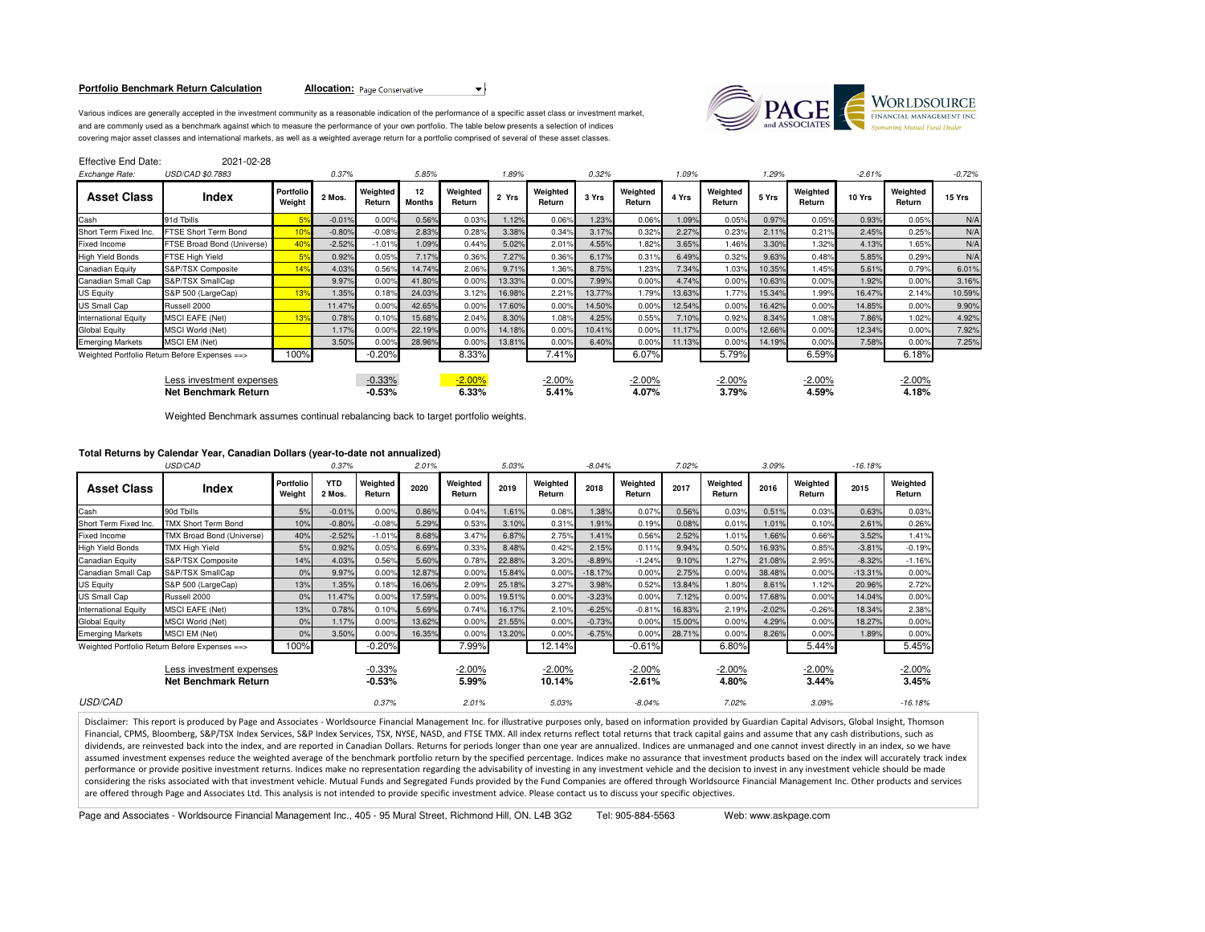#### **Portfolio Benchmark Return Calculation**

**Allocation:** Page Conservative  $\rightarrow$ 

Various indices are generally accepted in the investment community as a reasonable indication of the performance of a specific asset class or investment market,and are commonly used as a benchmark against which to measure the performance of your own portfolio. The table below presents a selection of indices covering major asset classes and international markets, as well as a weighted average return for a portfolio comprised of several of these asset classes.



Effective End Date: 2021-02-28

| Exchange Rate:                                          | USD/CAD \$0.7883                              |                            | 0.37%    |                      | 5.85%        |                    | 1.89%  |                    | 0.32%  |                    | 1.09%  |                    | 1.29%  |                    | $-2.61%$ |                    | $-0.72%$ |
|---------------------------------------------------------|-----------------------------------------------|----------------------------|----------|----------------------|--------------|--------------------|--------|--------------------|--------|--------------------|--------|--------------------|--------|--------------------|----------|--------------------|----------|
| <b>Asset Class</b>                                      | Index                                         | <b>Portfolio</b><br>Weight | 2 Mos.   | Weighted<br>Return   | 12<br>Months | Weighted<br>Return | 2 Yrs  | Weighted<br>Return | 3 Yrs  | Weighted<br>Return | 4 Yrs  | Weighted<br>Return | 5 Yrs  | Weighted<br>Return | 10 Yrs   | Weighted<br>Return | 15 Yrs   |
| Cash                                                    | 91d Tbills                                    |                            | $-0.01%$ | 0.00%                | 0.56%        | 0.03%              | 1.12%  | 0.06%              | 1.23%  | 0.06%              | 1.09%  | 0.05%              | 0.97%  | 0.05%              | 0.93%    | 0.05%              | N/A      |
| Short Term Fixed Inc.                                   | FTSE Short Term Bond                          | 10 <sup>°</sup>            | $-0.80%$ | $-0.08%$             | 2.83%        | 0.28%              | 3.38%  | 0.34%              | 3.17%  | 0.32%              | 2.27%  | 0.23%              | 2.11%  | 0.21%              | 2.45%    | 0.25%              | N/A      |
| <b>Fixed Income</b>                                     | FTSE Broad Bond (Universe)                    | 40 <sup>°</sup>            | $-2.52%$ | $-1.01%$             | 1.09%        | 0.44%              | 5.02%  | 2.01%              | 4.55%  | 1.82%              | 3.65%  | 1.46%              | 3.30%  | 1.32%              | 4.13%    | 1.65%              | N/A      |
| <b>High Yield Bonds</b>                                 | FTSE High Yield                               |                            | 0.92%    | 0.05%                | 7.17%        | 0.36%              | 7.27%  | 0.36%              | 6.17%  | 0.31%              | 6.49%  | 0.32%              | 9.63%  | 0.48%              | 5.85%    | 0.29%              | N/A      |
| Canadian Equity                                         | S&P/TSX Composite                             | 14%                        | 4.03%    | 0.56%                | 14.74%       | 2.06%              | 9.71%  | 1.36%              | 8.75%  | 1.23%              | 7.34%  | 1.03%              | 10.35% | 1.45%              | 5.61%    | 0.79%              | 6.01%    |
| Canadian Small Cap                                      | S&P/TSX SmallCap                              |                            | 9.97%    | 0.00%                | 41.80%       | 0.00%              | 13.33% | 0.00%              | 7.99%  | 0.00%              | 4.74%  | 0.00%              | 10.63% | 0.00%              | 1.92%    | 0.00%              | 3.16%    |
| US Equity                                               | S&P 500 (LargeCap)                            | 13 <sup>°</sup>            | 1.35%    | 0.18%                | 24.03%       | 3.12%              | 16.98% | 2.21%              | 13.77% | 1.79%              | 13.63% | 1.77%              | 15.34% | 1.99%              | 16.47%   | 2.14%              | 10.59%   |
| <b>US Small Cap</b>                                     | Russell 2000                                  |                            | 11.47%   | 0.00%                | 42.65%       | 0.00%              | 17.60% | 0.00%              | 14.50% | 0.00%              | 12.54% | 0.00%              | 16.42% | 0.00%              | 14.85%   | 0.00%              | 9.90%    |
| <b>International Equity</b>                             | <b>MSCI EAFE (Net)</b>                        | 13 <sup>°</sup>            | 0.78%    | 0.10%                | 15.68%       | 2.04%              | 8.30%  | 1.08%              | 4.25%  | 0.55%              | 7.10%  | 0.92%              | 8.34%  | 1.08%              | 7.86%    | 1.02%              | 4.92%    |
| Global Equity                                           | <b>MSCI World (Net)</b>                       |                            | 1.17%    | 0.00%                | 22.19%       | 0.00%              | 14.18% | 0.00%              | 10.41% | 0.00%              | 11.17% | 0.00%              | 12.66% | 0.00%              | 12.34%   | 0.00%              | 7.92%    |
| <b>Emerging Markets</b>                                 | <b>MSCI EM (Net)</b>                          |                            | 3.50%    | 0.00%                | 28.96%       | 0.00%              | 13.81% | 0.00%              | 6.40%  | 0.00%              | 11.13% | 0.00%              | 14.19% | 0.00%              | 7.58%    | 0.00%              | 7.25%    |
|                                                         | Weighted Portfolio Return Before Expenses ==> | 100%                       |          | $-0.20%$             |              | 8.33%              |        | 7.41%              |        | 6.07%              |        | 5.79%              |        | 6.59%              |          | 6.18%              |          |
| Less investment expenses<br><b>Net Benchmark Return</b> |                                               |                            |          | $-0.33%$<br>$-0.53%$ |              | $-2.00%$<br>6.33%  |        | $-2.00%$<br>5.41%  |        | $-2.00\%$<br>4.07% |        | $-2.00%$<br>3.79%  |        | $-2.00%$<br>4.59%  |          | $-2.00%$<br>4.18%  |          |

Weighted Benchmark assumes continual rebalancing back to target portfolio weights.

# **Total Returns by Calendar Year, Canadian Dollars (year-to-date not annualized)**

|                             | USD/CAD                                                 |                     | 0.37%                |                      |        | 5.03%<br>2.01%     |        |                    | $-8.04%$<br>7.02% |                       |        |                    | 3.09%    | $-16.18%$          |           |                    |
|-----------------------------|---------------------------------------------------------|---------------------|----------------------|----------------------|--------|--------------------|--------|--------------------|-------------------|-----------------------|--------|--------------------|----------|--------------------|-----------|--------------------|
| <b>Asset Class</b>          | Index                                                   | Portfolio<br>Weight | <b>YTD</b><br>2 Mos. | Weighted<br>Return   | 2020   | Weighted<br>Return | 2019   | Weighted<br>Return | 2018              | Weighted<br>Return    | 2017   | Weighted<br>Return | 2016     | Weighted<br>Return | 2015      | Weighted<br>Return |
| Cash                        | 90d Tbills                                              | 5%                  | $-0.01%$             | 0.00%                | 0.86%  | 0.04%              | 1.61%  | 0.08%              | 1.38%             | 0.07%                 | 0.56%  | 0.03%              | 0.51%    | 0.03%              | 0.63%     | 0.03%              |
| Short Term Fixed Inc.       | <b>TMX Short Term Bond</b>                              | 10%                 | $-0.80%$             | $-0.08%$             | 5.29%  | 0.53%              | 3.10%  | 0.31%              | 1.91%             | 0.19%                 | 0.08%  | 0.01%              | 1.01%    | 0.10%              | 2.61%     | 0.26%              |
| <b>Fixed Income</b>         | TMX Broad Bond (Universe)                               | 40%                 | $-2.52%$             | $-1.01%$             | 8.68%  | 3.47%              | 6.87%  | 2.75%              | 1.41%             | 0.56%                 | 2.52%  | 1.01%              | 1.66%    | 0.66%              | 3.52%     | 1.41%              |
| <b>High Yield Bonds</b>     | TMX High Yield                                          | 5%                  | 0.92%                | 0.05%                | 6.69%  | 0.33%              | 8.48%  | 0.42%              | 2.15%             | 0.11%                 | 9.94%  | 0.50%              | 16.93%   | 0.85%              | $-3.81%$  | $-0.19%$           |
| Canadian Equity             | S&P/TSX Composite                                       | 14%                 | 4.03%                | 0.56%                | 5.60%  | 0.78%              | 22.88% | 3.20%              | $-8.89%$          | $-1.24%$              | 9.10%  | 1.27%              | 21.08%   | 2.95%              | $-8.32%$  | $-1.16%$           |
| Canadian Small Cap          | S&P/TSX SmallCap                                        | 0%                  | 9.97%                | 0.00%                | 12.87% | 0.00%              | 15.84% | 0.00%              | $-18.17%$         | 0.00%                 | 2.75%  | 0.00%              | 38.48%   | 0.00%              | $-13.31%$ | 0.00%              |
| <b>US Equity</b>            | S&P 500 (LargeCap)                                      | 13%                 | 1.35%                | 0.18%                | 16.06% | 2.09%              | 25.18% | 3.27%              | 3.98%             | 0.52%                 | 13.84% | 1.80%              | 8.61%    | 1.12%              | 20.96%    | 2.72%              |
| <b>US Small Cap</b>         | Russell 2000                                            | 0%                  | 11.47%               | 0.00%                | 17.59% | 0.00%              | 19.51% | 0.00%              | $-3.23%$          | 0.00%                 | 7.12%  | 0.00%              | 17.68%   | 0.00%              | 14.04%    | 0.00%              |
| <b>International Equity</b> | <b>MSCI EAFE (Net)</b>                                  | 13%                 | 0.78%                | 0.10%                | 5.69%  | 0.74%              | 16.17% | 2.10%              | $-6.25%$          | $-0.81%$              | 16.83% | 2.19%              | $-2.02%$ | $-0.26%$           | 18.34%    | 2.38%              |
| <b>Global Equity</b>        | MSCI World (Net)                                        | 0%                  | 1.17%                | 0.00%                | 13.62% | 0.00%              | 21.55% | 0.00%              | $-0.73%$          | 0.00%                 | 15.00% | 0.00%              | 4.29%    | 0.00%              | 18.27%    | 0.00%              |
| <b>Emerging Markets</b>     | MSCI EM (Net)                                           | 0%                  | 3.50%                | 0.00%                | 16.35% | 0.00%              | 13.20% | 0.00%              | $-6.75%$          | 0.00%                 | 28.71% | 0.00%              | 8.26%    | 0.00%              | 1.89%     | 0.00%              |
|                             | Weighted Portfolio Return Before Expenses ==>           | 100%                |                      | $-0.20%$             |        | 7.99%              |        | 12.14%             |                   | $-0.61%$              |        | 6.80%              |          | 5.44%              |           | 5.45%              |
|                             | Less investment expenses<br><b>Net Benchmark Return</b> |                     |                      | $-0.33%$<br>$-0.53%$ |        | $-2.00%$<br>5.99%  |        | $-2.00%$<br>10.14% |                   | $-2.00\%$<br>$-2.61%$ |        | $-2.00%$<br>4.80%  |          | $-2.00%$<br>3.44%  |           | $-2.00%$<br>3.45%  |
| <b>USD/CAD</b>              |                                                         |                     |                      | 0.37%                |        | 2.01%              |        | 5.03%              |                   | $-8.04%$              |        | 7.02%              |          | 3.09%              |           | $-16.18%$          |

Disclaimer: This report is produced by Page and Associates - Worldsource Financial Management Inc. for illustrative purposes only, based on information provided by Guardian Capital Advisors, Global Insight, Thomson Financial, CPMS, Bloomberg, S&P/TSX Index Services, S&P Index Services, TSX, NYSE, NASD, and FTSE TMX. All index returns reflect total returns that track capital gains and assume that any cash distributions, such as dividends, are reinvested back into the index, and are reported in Canadian Dollars. Returns for periods longer than one year are annualized. Indices are unmanaged and one cannot invest directly in an index, so we have assumed investment expenses reduce the weighted average of the benchmark portfolio return by the specified percentage. Indices make no assurance that investment products based on the index will accurately track index performance or provide positive investment returns. Indices make no representation regarding the advisability of investing in any investment vehicle and the decision to invest in any investment vehicle should be made considering the risks associated with that investment vehicle. Mutual Funds and Segregated Funds provided by the Fund Companies are offered through Worldsource Financial Management Inc. Other products and services are offered through Page and Associates Ltd. This analysis is not intended to provide specific investment advice. Please contact us to discuss your specific objectives.

Page and Associates - Worldsource Financial Management Inc., 405 - 95 Mural Street, Richmond Hill, ON. L4B 3G2 Tel: 905-884-5563 Web: www.askpage.com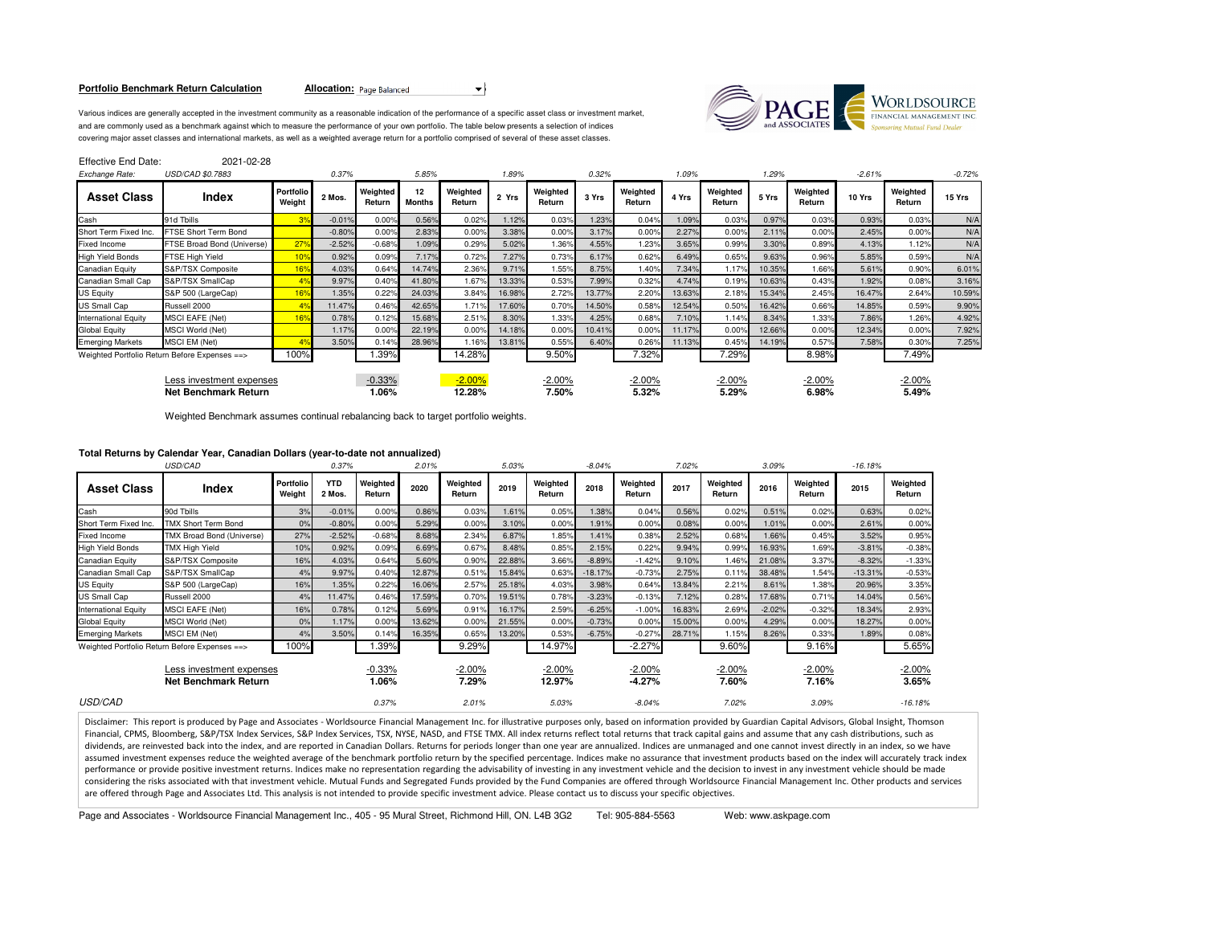#### **Portfolio Benchmark Return Calculation**

**Allocation:** Page Balanced



Various indices are generally accepted in the investment community as a reasonable indication of the performance of a specific asset class or investment market,and are commonly used as a benchmark against which to measure the performance of your own portfolio. The table below presents a selection of indices covering major asset classes and international markets, as well as a weighted average return for a portfolio comprised of several of these asset classes.

| Effective End Date:                              | 2021-02-28                                     |                            |          |                    |                     |                    |        |                    |        |                    |        |                    |        |                    |          |                    |          |
|--------------------------------------------------|------------------------------------------------|----------------------------|----------|--------------------|---------------------|--------------------|--------|--------------------|--------|--------------------|--------|--------------------|--------|--------------------|----------|--------------------|----------|
| Exchange Rate:                                   | USD/CAD \$0.7883                               |                            | 0.37%    |                    | 5.85%               |                    | 1.89%  |                    | 0.32%  |                    | 1.09%  |                    | 1.29%  |                    | $-2.61%$ |                    | $-0.72%$ |
| <b>Asset Class</b>                               | <b>Index</b>                                   | <b>Portfolio</b><br>Weight | 2 Mos.   | Weighted<br>Return | 12<br><b>Months</b> | Weighted<br>Return | 2 Yrs  | Weighted<br>Return | 3 Yrs  | Weighted<br>Return | 4 Yrs  | Weighted<br>Return | 5 Yrs  | Weighted<br>Return | 10 Yrs   | Weighted<br>Return | 15 Yrs   |
| Cash                                             | 91d Tbills                                     | 3 <sup>°</sup>             | $-0.01%$ | 0.00%              | 0.56%               | 0.02%              | 1.12%  | 0.03%              | 1.23%  | 0.04%              | 1.09%  | 0.03%              | 0.97%  | 0.03%              | 0.93%    | 0.03%              | N/A      |
| Short Term Fixed Inc.                            | FTSE Short Term Bond                           |                            | $-0.80%$ | 0.00%              | 2.83%               | 0.00%              | 3.38%  | 0.00%              | 3.17%  | 0.00%              | 2.27%  | 0.00%              | 2.11%  | 0.00%              | 2.45%    | 0.00%              | N/A      |
| Fixed Income                                     | FTSE Broad Bond (Universe)                     | 27%                        | $-2.52%$ | $-0.68%$           | 1.09%               | 0.29%              | 5.02%  | 1.36%              | 4.55%  | 1.23%              | 3.65%  | 0.99%              | 3.30%  | 0.89%              | 4.13%    | 1.12%              | N/A      |
| <b>High Yield Bonds</b>                          | FTSE High Yield                                | 10%                        | 0.92%    | 0.09%              | 7.17%               | 0.72%              | 7.27%  | 0.73%              | 6.17%  | 0.62%              | 6.49%  | 0.65%              | 9.63%  | 0.96%              | 5.85%    | 0.59%              | N/A      |
| Canadian Equity                                  | S&P/TSX Composite                              | 16%                        | 4.03%    | 0.64%              | 14.74%              | 2.36%              | 9.71%  | 1.55%              | 8.75%  | 1.40%              | 7.34%  | 1.17%              | 10.35% | 1.66%              | 5.61%    | 0.90%              | 6.01%    |
| Canadian Small Cap                               | S&P/TSX SmallCap                               | 4 <sup>°</sup>             | 9.97%    | 0.40%              | 41.80%              | 1.67%              | 13.33% | 0.53%              | 7.99%  | 0.32%              | 4.74%  | 0.19%              | 10.63% | 0.43%              | 1.92%    | 0.08%              | 3.16%    |
| <b>JS Equity</b>                                 | S&P 500 (LargeCap)                             | 16 <sup>9</sup>            | 1.35%    | 0.22%              | 24.03%              | 3.84%              | 16.98% | 2.72%              | 13.77% | 2.20%              | 13.63% | 2.18%              | 15.34% | 2.45%              | 16.47%   | 2.64%              | 10.59%   |
| JS Small Cap                                     | Russell 2000                                   |                            | 11.47%   | 0.46%              | 42.65%              | 1.71%              | 17.60% | 0.70%              | 14.50% | 0.58%              | 12.54% | 0.50%              | 16.42% | 0.66%              | 14.85%   | 0.59%              | 9.90%    |
| International Equity                             | <b>MSCI EAFE (Net)</b>                         | 16%                        | 0.78%    | 0.12%              | 15.68%              | 2.51%              | 8.30%  | 1.33%              | 4.25%  | 0.68%              | 7.10%  | 1.14%              | 8.34%  | 1.33%              | 7.86%    | 1.26%              | 4.92%    |
| <b>Global Equity</b>                             | <b>MSCI World (Net)</b>                        |                            | 1.17%    | 0.00%              | 22.19%              | 0.00%              | 14.18% | 0.00%              | 10.41% | 0.00%              | 11.17% | 0.00%              | 12.66% | 0.00%              | 12.34%   | 0.00%              | 7.92%    |
| <b>Emerging Markets</b>                          | <b>MSCI EM (Net)</b>                           | 49                         | 3.50%    | 0.14%              | 28.96%              | 1.16%              | 13.81% | 0.55%              | 6.40%  | 0.26%              | 11.13% | 0.45%              | 14.19% | 0.57%              | 7.58%    | 0.30%              | 7.25%    |
|                                                  | Weighted Portfolio Return Before Expenses == > | 100%                       |          | 1.39%              |                     | 14.28%             |        | 9.50%              |        | 7.32%              |        | 7.29%              |        | 8.98%              |          | 7.49%              |          |
| Less investment expenses<br>Net Benchmark Return |                                                |                            |          | $-0.33%$<br>1.06%  |                     | $-2.00%$<br>12.28% |        | $-2.00\%$<br>7.50% |        | $-2.00%$<br>5.32%  |        | $-2.00%$<br>5.29%  |        | $-2.00%$<br>6.98%  |          | $-2.00%$<br>5.49%  |          |

Weighted Benchmark assumes continual rebalancing back to target portfolio weights.

# **Total Returns by Calendar Year, Canadian Dollars (year-to-date not annualized)**

|                             | USD/CAD                                                 |                     | 0.37%                |                    | 5.03%<br>2.01% |                    |        |                    | $-8.04%$  |                       |        |                    | 3.09%    |                    |           |                        |
|-----------------------------|---------------------------------------------------------|---------------------|----------------------|--------------------|----------------|--------------------|--------|--------------------|-----------|-----------------------|--------|--------------------|----------|--------------------|-----------|------------------------|
| <b>Asset Class</b>          | Index                                                   | Portfolio<br>Weight | <b>YTD</b><br>2 Mos. | Weighted<br>Return | 2020           | Weighted<br>Return | 2019   | Weighted<br>Return | 2018      | Weighted<br>Return    | 2017   | Weighted<br>Return | 2016     | Weighted<br>Return | 2015      | Weighted<br>Return     |
| Cash                        | 90d Tbills                                              | 3%                  | $-0.01%$             | 0.00%              | 0.86%          | 0.03%              | 1.61%  | 0.05%              | 1.38%     | 0.04%                 | 0.56%  | 0.02%              | 0.51%    | 0.02%              | 0.63%     | 0.02%                  |
| Short Term Fixed Inc.       | <b>TMX Short Term Bond</b>                              | 0%                  | $-0.80%$             | 0.00%              | 5.29%          | 0.00%              | 3.10%  | 0.00%              | 1.91%     | 0.00%                 | 0.08%  | 0.00%              | 1.01%    | 0.00%              | 2.61%     | 0.00%                  |
| <b>Fixed Income</b>         | TMX Broad Bond (Universe)                               | 27%                 | $-2.52%$             | $-0.68%$           | 8.68%          | 2.34%              | 6.87%  | 1.85%              | 1.41%     | 0.38%                 | 2.52%  | 0.68%              | 1.66%    | 0.45%              | 3.52%     | 0.95%                  |
| <b>High Yield Bonds</b>     | <b>TMX High Yield</b>                                   | 10%                 | 0.92%                | 0.09%              | 6.69%          | 0.67%              | 8.48%  | 0.85%              | 2.15%     | 0.22%                 | 9.94%  | 0.99%              | 16.93%   | 1.69%              | $-3.81%$  | $-0.38%$               |
| Canadian Equity             | S&P/TSX Composite                                       | 16%                 | 4.03%                | 0.64%              | 5.60%          | 0.90%              | 22.88% | 3.66%              | $-8.89%$  | $-1.42%$              | 9.10%  | 1.46%              | 21.08%   | 3.37%              | $-8.32%$  | $-1.33%$               |
| Canadian Small Cap          | S&P/TSX SmallCap                                        | 4%                  | 9.97%                | 0.40%              | 12.87%         | 0.51%              | 15.84% | 0.63%              | $-18.17%$ | $-0.73%$              | 2.75%  | 0.11%              | 38.48%   | 1.54%              | $-13.31%$ | $-0.53%$               |
| <b>US Equity</b>            | S&P 500 (LargeCap)                                      | 16%                 | 1.35%                | 0.22%              | 16.06%         | 2.57%              | 25.18% | 4.03%              | 3.98%     | 0.64%                 | 13.84% | 2.21%              | 8.61%    | 1.38%              | 20.96%    | 3.35%                  |
| <b>US Small Cap</b>         | Russell 2000                                            | 4%                  | 11.47%               | 0.46%              | 17.59%         | 0.70%              | 19.51% | 0.78%              | $-3.23%$  | $-0.13%$              | 7.12%  | 0.28%              | 17.68%   | 0.71%              | 14.04%    | 0.56%                  |
| <b>International Equity</b> | <b>MSCI EAFE (Net)</b>                                  | 16%                 | 0.78%                | 0.12%              | 5.69%          | 0.91%              | 16.17% | 2.59%              | $-6.25%$  | $-1.00%$              | 16.83% | 2.69%              | $-2.02%$ | $-0.32%$           | 18.34%    | 2.93%                  |
| <b>Global Equity</b>        | MSCI World (Net)                                        | 0%                  | 1.17%                | 0.00%              | 13.62%         | 0.00%              | 21.55% | 0.00%              | $-0.73%$  | 0.00%                 | 15.00% | 0.00%              | 4.29%    | 0.00%              | 18.27%    | 0.00%                  |
| <b>Emerging Markets</b>     | <b>MSCI EM (Net)</b>                                    | 4%                  | 3.50%                | 0.14%              | 16.35%         | 0.65%              | 13.20% | 0.53%              | $-6.75%$  | $-0.27%$              | 28.71% | 1.15%              | 8.26%    | 0.33%              | 1.89%     | 0.08%                  |
|                             | Weighted Portfolio Return Before Expenses ==>           | 100%                |                      | 1.39%              |                | 9.29%              |        | 14.97%             |           | $-2.27%$              |        | 9.60%              |          | 9.16%              |           | 5.65%                  |
|                             | Less investment expenses<br><b>Net Benchmark Return</b> |                     |                      | $-0.33%$<br>1.06%  |                | $-2.00%$<br>7.29%  |        | $-2.00%$<br>12.97% |           | $-2.00\%$<br>$-4.27%$ |        | $-2.00\%$<br>7.60% |          | $-2.00%$<br>7.16%  |           | <u>-2.00%</u><br>3.65% |
| <b>USD/CAD</b>              |                                                         |                     |                      | 0.37%              |                | 2.01%              |        | 5.03%              |           | $-8.04%$              |        | 7.02%              |          | 3.09%              |           | $-16.18%$              |

Disclaimer: This report is produced by Page and Associates - Worldsource Financial Management Inc. for illustrative purposes only, based on information provided by Guardian Capital Advisors, Global Insight, Thomson Financial, CPMS, Bloomberg, S&P/TSX Index Services, S&P Index Services, TSX, NYSE, NASD, and FTSE TMX. All index returns reflect total returns that track capital gains and assume that any cash distributions, such as dividends, are reinvested back into the index, and are reported in Canadian Dollars. Returns for periods longer than one year are annualized. Indices are unmanaged and one cannot invest directly in an index, so we have assumed investment expenses reduce the weighted average of the benchmark portfolio return by the specified percentage. Indices make no assurance that investment products based on the index will accurately track index performance or provide positive investment returns. Indices make no representation regarding the advisability of investing in any investment vehicle and the decision to invest in any investment vehicle should be made considering the risks associated with that investment vehicle. Mutual Funds and Segregated Funds provided by the Fund Companies are offered through Worldsource Financial Management Inc. Other products and services are offered through Page and Associates Ltd. This analysis is not intended to provide specific investment advice. Please contact us to discuss your specific objectives.

Page and Associates - Worldsource Financial Management Inc., 405 - 95 Mural Street, Richmond Hill, ON. L4B 3G2 Tel: 905-884-5563 Web: www.askpage.com